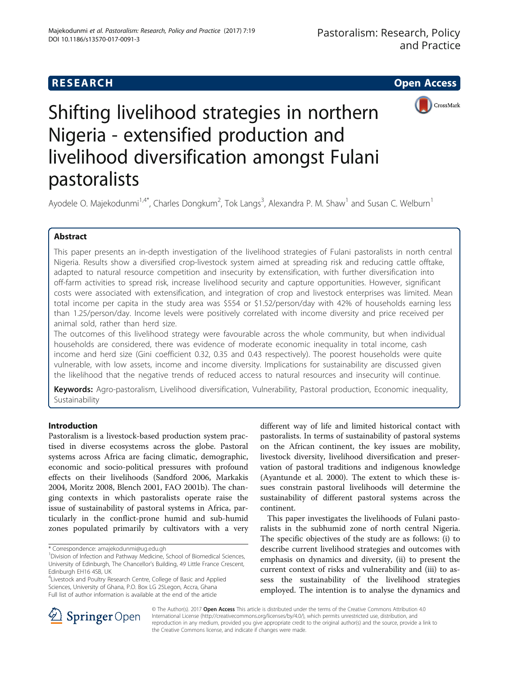## **RESEARCH CHE Open Access**



# Shifting livelihood strategies in northern Nigeria - extensified production and livelihood diversification amongst Fulani pastoralists

Ayodele O. Majekodunmi<sup>1,4\*</sup>, Charles Dongkum<sup>2</sup>, Tok Langs<sup>3</sup>, Alexandra P. M. Shaw<sup>1</sup> and Susan C. Welburn<sup>1</sup>

## Abstract

This paper presents an in-depth investigation of the livelihood strategies of Fulani pastoralists in north central Nigeria. Results show a diversified crop-livestock system aimed at spreading risk and reducing cattle offtake, adapted to natural resource competition and insecurity by extensification, with further diversification into off-farm activities to spread risk, increase livelihood security and capture opportunities. However, significant costs were associated with extensification, and integration of crop and livestock enterprises was limited. Mean total income per capita in the study area was \$554 or \$1.52/person/day with 42% of households earning less than 1.25/person/day. Income levels were positively correlated with income diversity and price received per animal sold, rather than herd size.

The outcomes of this livelihood strategy were favourable across the whole community, but when individual households are considered, there was evidence of moderate economic inequality in total income, cash income and herd size (Gini coefficient 0.32, 0.35 and 0.43 respectively). The poorest households were quite vulnerable, with low assets, income and income diversity. Implications for sustainability are discussed given the likelihood that the negative trends of reduced access to natural resources and insecurity will continue.

Keywords: Agro-pastoralism, Livelihood diversification, Vulnerability, Pastoral production, Economic inequality, Sustainability

## Introduction

Pastoralism is a livestock-based production system practised in diverse ecosystems across the globe. Pastoral systems across Africa are facing climatic, demographic, economic and socio-political pressures with profound effects on their livelihoods (Sandford [2006,](#page-11-0) Markakis [2004](#page-11-0), Moritz [2008,](#page-11-0) Blench [2001,](#page-11-0) FAO [2001b\)](#page-11-0). The changing contexts in which pastoralists operate raise the issue of sustainability of pastoral systems in Africa, particularly in the conflict-prone humid and sub-humid zones populated primarily by cultivators with a very

4 Livestock and Poultry Research Centre, College of Basic and Applied Sciences, University of Ghana, P.O. Box LG 25Legon, Accra, Ghana Full list of author information is available at the end of the article

different way of life and limited historical contact with pastoralists. In terms of sustainability of pastoral systems on the African continent, the key issues are mobility, livestock diversity, livelihood diversification and preservation of pastoral traditions and indigenous knowledge (Ayantunde et al. [2000\)](#page-11-0). The extent to which these issues constrain pastoral livelihoods will determine the sustainability of different pastoral systems across the continent.

This paper investigates the livelihoods of Fulani pastoralists in the subhumid zone of north central Nigeria. The specific objectives of the study are as follows: (i) to describe current livelihood strategies and outcomes with emphasis on dynamics and diversity, (ii) to present the current context of risks and vulnerability and (iii) to assess the sustainability of the livelihood strategies employed. The intention is to analyse the dynamics and



© The Author(s). 2017 **Open Access** This article is distributed under the terms of the Creative Commons Attribution 4.0 International License ([http://creativecommons.org/licenses/by/4.0/\)](http://creativecommons.org/licenses/by/4.0/), which permits unrestricted use, distribution, and reproduction in any medium, provided you give appropriate credit to the original author(s) and the source, provide a link to the Creative Commons license, and indicate if changes were made.

<sup>\*</sup> Correspondence: [amajekodunmi@ug.edu.gh](mailto:amajekodunmi@ug.edu.gh) <sup>1</sup>

<sup>&</sup>lt;sup>1</sup> Division of Infection and Pathway Medicine, School of Biomedical Sciences, University of Edinburgh, The Chancellor's Building, 49 Little France Crescent, Edinburgh EH16 4SB, UK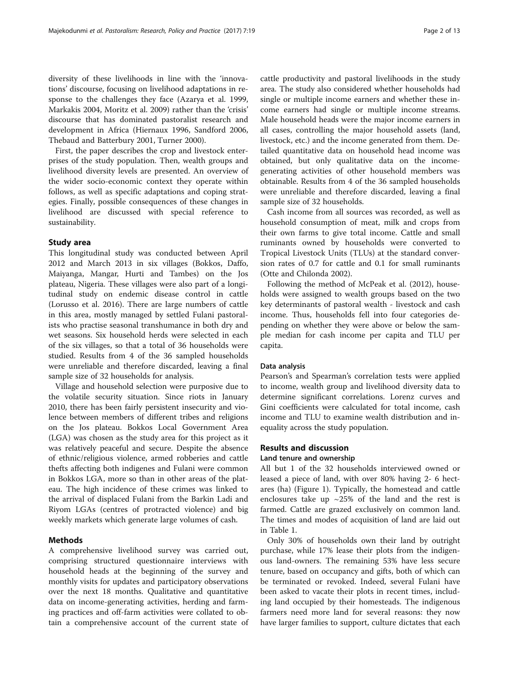diversity of these livelihoods in line with the 'innovations' discourse, focusing on livelihood adaptations in response to the challenges they face (Azarya et al. [1999](#page-11-0), Markakis [2004](#page-11-0), Moritz et al. [2009](#page-11-0)) rather than the 'crisis' discourse that has dominated pastoralist research and development in Africa (Hiernaux [1996,](#page-11-0) Sandford [2006](#page-11-0), Thebaud and Batterbury [2001,](#page-12-0) Turner [2000\)](#page-12-0).

First, the paper describes the crop and livestock enterprises of the study population. Then, wealth groups and livelihood diversity levels are presented. An overview of the wider socio-economic context they operate within follows, as well as specific adaptations and coping strategies. Finally, possible consequences of these changes in livelihood are discussed with special reference to sustainability.

## Study area

This longitudinal study was conducted between April 2012 and March 2013 in six villages (Bokkos, Daffo, Maiyanga, Mangar, Hurti and Tambes) on the Jos plateau, Nigeria. These villages were also part of a longitudinal study on endemic disease control in cattle (Lorusso et al. [2016\)](#page-11-0). There are large numbers of cattle in this area, mostly managed by settled Fulani pastoralists who practise seasonal transhumance in both dry and wet seasons. Six household herds were selected in each of the six villages, so that a total of 36 households were studied. Results from 4 of the 36 sampled households were unreliable and therefore discarded, leaving a final sample size of 32 households for analysis.

Village and household selection were purposive due to the volatile security situation. Since riots in January 2010, there has been fairly persistent insecurity and violence between members of different tribes and religions on the Jos plateau. Bokkos Local Government Area (LGA) was chosen as the study area for this project as it was relatively peaceful and secure. Despite the absence of ethnic/religious violence, armed robberies and cattle thefts affecting both indigenes and Fulani were common in Bokkos LGA, more so than in other areas of the plateau. The high incidence of these crimes was linked to the arrival of displaced Fulani from the Barkin Ladi and Riyom LGAs (centres of protracted violence) and big weekly markets which generate large volumes of cash.

## Methods

A comprehensive livelihood survey was carried out, comprising structured questionnaire interviews with household heads at the beginning of the survey and monthly visits for updates and participatory observations over the next 18 months. Qualitative and quantitative data on income-generating activities, herding and farming practices and off-farm activities were collated to obtain a comprehensive account of the current state of cattle productivity and pastoral livelihoods in the study area. The study also considered whether households had single or multiple income earners and whether these income earners had single or multiple income streams. Male household heads were the major income earners in all cases, controlling the major household assets (land, livestock, etc.) and the income generated from them. Detailed quantitative data on household head income was obtained, but only qualitative data on the incomegenerating activities of other household members was obtainable. Results from 4 of the 36 sampled households were unreliable and therefore discarded, leaving a final sample size of 32 households.

Cash income from all sources was recorded, as well as household consumption of meat, milk and crops from their own farms to give total income. Cattle and small ruminants owned by households were converted to Tropical Livestock Units (TLUs) at the standard conversion rates of 0.7 for cattle and 0.1 for small ruminants (Otte and Chilonda [2002\)](#page-11-0).

Following the method of McPeak et al. ([2012](#page-11-0)), households were assigned to wealth groups based on the two key determinants of pastoral wealth - livestock and cash income. Thus, households fell into four categories depending on whether they were above or below the sample median for cash income per capita and TLU per capita.

## Data analysis

Pearson's and Spearman's correlation tests were applied to income, wealth group and livelihood diversity data to determine significant correlations. Lorenz curves and Gini coefficients were calculated for total income, cash income and TLU to examine wealth distribution and inequality across the study population.

## Results and discussion

## Land tenure and ownership

All but 1 of the 32 households interviewed owned or leased a piece of land, with over 80% having 2- 6 hectares (ha) (Figure [1\)](#page-2-0). Typically, the homestead and cattle enclosures take up  $\sim$  25% of the land and the rest is farmed. Cattle are grazed exclusively on common land. The times and modes of acquisition of land are laid out in Table [1.](#page-2-0)

Only 30% of households own their land by outright purchase, while 17% lease their plots from the indigenous land-owners. The remaining 53% have less secure tenure, based on occupancy and gifts, both of which can be terminated or revoked. Indeed, several Fulani have been asked to vacate their plots in recent times, including land occupied by their homesteads. The indigenous farmers need more land for several reasons: they now have larger families to support, culture dictates that each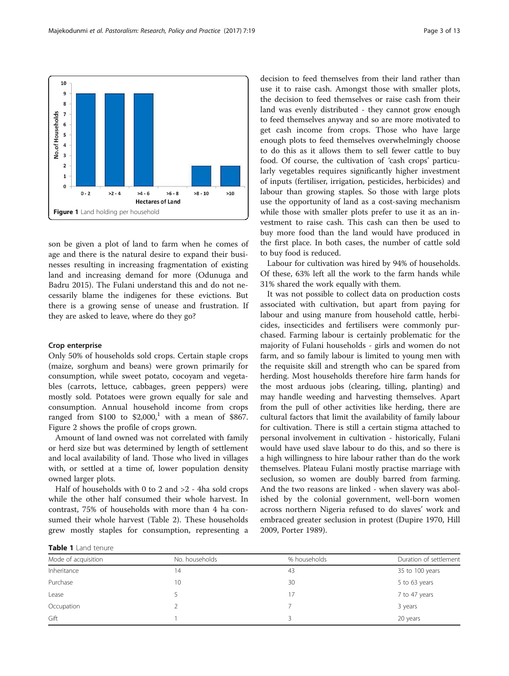<span id="page-2-0"></span>

son be given a plot of land to farm when he comes of age and there is the natural desire to expand their businesses resulting in increasing fragmentation of existing land and increasing demand for more (Odunuga and Badru [2015](#page-11-0)). The Fulani understand this and do not necessarily blame the indigenes for these evictions. But there is a growing sense of unease and frustration. If they are asked to leave, where do they go?

## Crop enterprise

Only 50% of households sold crops. Certain staple crops (maize, sorghum and beans) were grown primarily for consumption, while sweet potato, cocoyam and vegetables (carrots, lettuce, cabbages, green peppers) were mostly sold. Potatoes were grown equally for sale and consumption. Annual household income from crops ranged from \$100 to  $$2,000$ ,<sup>1</sup> with a mean of \$867. Figure [2](#page-3-0) shows the profile of crops grown.

Amount of land owned was not correlated with family or herd size but was determined by length of settlement and local availability of land. Those who lived in villages with, or settled at a time of, lower population density owned larger plots.

Half of households with 0 to 2 and >2 - 4ha sold crops while the other half consumed their whole harvest. In contrast, 75% of households with more than 4 ha consumed their whole harvest (Table [2\)](#page-3-0). These households grew mostly staples for consumption, representing a decision to feed themselves from their land rather than use it to raise cash. Amongst those with smaller plots, the decision to feed themselves or raise cash from their land was evenly distributed - they cannot grow enough to feed themselves anyway and so are more motivated to get cash income from crops. Those who have large enough plots to feed themselves overwhelmingly choose to do this as it allows them to sell fewer cattle to buy food. Of course, the cultivation of 'cash crops' particularly vegetables requires significantly higher investment of inputs (fertiliser, irrigation, pesticides, herbicides) and labour than growing staples. So those with large plots use the opportunity of land as a cost-saving mechanism while those with smaller plots prefer to use it as an investment to raise cash. This cash can then be used to buy more food than the land would have produced in the first place. In both cases, the number of cattle sold to buy food is reduced.

Labour for cultivation was hired by 94% of households. Of these, 63% left all the work to the farm hands while 31% shared the work equally with them.

It was not possible to collect data on production costs associated with cultivation, but apart from paying for labour and using manure from household cattle, herbicides, insecticides and fertilisers were commonly purchased. Farming labour is certainly problematic for the majority of Fulani households - girls and women do not farm, and so family labour is limited to young men with the requisite skill and strength who can be spared from herding. Most households therefore hire farm hands for the most arduous jobs (clearing, tilling, planting) and may handle weeding and harvesting themselves. Apart from the pull of other activities like herding, there are cultural factors that limit the availability of family labour for cultivation. There is still a certain stigma attached to personal involvement in cultivation - historically, Fulani would have used slave labour to do this, and so there is a high willingness to hire labour rather than do the work themselves. Plateau Fulani mostly practise marriage with seclusion, so women are doubly barred from farming. And the two reasons are linked - when slavery was abolished by the colonial government, well-born women across northern Nigeria refused to do slaves' work and embraced greater seclusion in protest (Dupire [1970,](#page-11-0) Hill [2009](#page-11-0), Porter [1989\)](#page-11-0).

Table 1 Land tenure

| Mode of acquisition | No. households | % households | Duration of settlement |  |  |
|---------------------|----------------|--------------|------------------------|--|--|
| Inheritance         | 14             | 43           | 35 to 100 years        |  |  |
| Purchase            | 10             | 30           | 5 to 63 years          |  |  |
| Lease               |                | 17           | 7 to 47 years          |  |  |
| Occupation          |                |              | 3 years                |  |  |
| Gift                |                | 3            | 20 years               |  |  |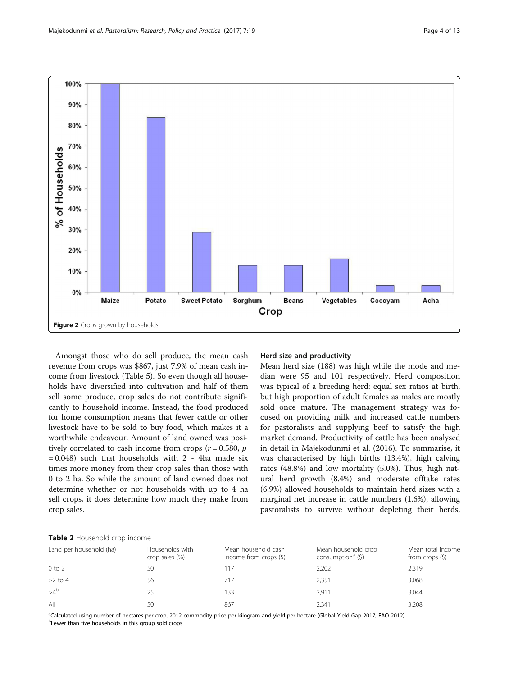<span id="page-3-0"></span>

Amongst those who do sell produce, the mean cash revenue from crops was \$867, just 7.9% of mean cash income from livestock (Table [5\)](#page-7-0). So even though all households have diversified into cultivation and half of them sell some produce, crop sales do not contribute significantly to household income. Instead, the food produced for home consumption means that fewer cattle or other livestock have to be sold to buy food, which makes it a worthwhile endeavour. Amount of land owned was positively correlated to cash income from crops ( $r = 0.580$ ,  $p$ )  $= 0.048$ ) such that households with 2 - 4ha made six times more money from their crop sales than those with 0 to 2 ha. So while the amount of land owned does not determine whether or not households with up to 4 ha sell crops, it does determine how much they make from crop sales.

## Herd size and productivity

Mean herd size (188) was high while the mode and median were 95 and 101 respectively. Herd composition was typical of a breeding herd: equal sex ratios at birth, but high proportion of adult females as males are mostly sold once mature. The management strategy was focused on providing milk and increased cattle numbers for pastoralists and supplying beef to satisfy the high market demand. Productivity of cattle has been analysed in detail in Majekodunmi et al. ([2016](#page-11-0)). To summarise, it was characterised by high births (13.4%), high calving rates (48.8%) and low mortality (5.0%). Thus, high natural herd growth (8.4%) and moderate offtake rates (6.9%) allowed households to maintain herd sizes with a marginal net increase in cattle numbers (1.6%), allowing pastoralists to survive without depleting their herds,

## Table 2 Household crop income

| Land per household (ha) | Households with<br>crop sales (%) | Mean household cash<br>income from crops $(\xi)$ | Mean household crop<br>consumption <sup>a</sup> $(5)$ | Mean total income<br>from crops $(5)$ |
|-------------------------|-----------------------------------|--------------------------------------------------|-------------------------------------------------------|---------------------------------------|
| $0$ to $2$              | 50                                |                                                  | 2,202                                                 | 2,319                                 |
| $>2$ to 4               | 56                                | 717                                              | 2,351                                                 | 3,068                                 |
| $>4^b$                  | 25                                | 133                                              | 2,911                                                 | 3,044                                 |
| All                     | 50                                | 867                                              | 2.341                                                 | 3,208                                 |

a<br>Dalculated using number of hectares per crop, 2012 commodity price per kilogram and yield per hectare (Global-Yield-Gap [2017](#page-11-0), FAO [2012\)](#page-11-0)<br>PEquer than five bousebolds in this group sold crops <sup>b</sup>Fewer than five households in this group sold crops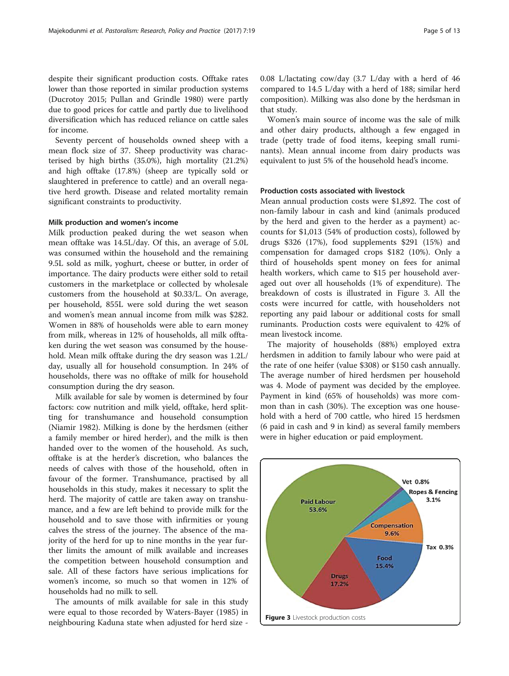despite their significant production costs. Offtake rates lower than those reported in similar production systems (Ducrotoy [2015;](#page-11-0) Pullan and Grindle [1980](#page-11-0)) were partly due to good prices for cattle and partly due to livelihood diversification which has reduced reliance on cattle sales for income.

Seventy percent of households owned sheep with a mean flock size of 37. Sheep productivity was characterised by high births (35.0%), high mortality (21.2%) and high offtake (17.8%) (sheep are typically sold or slaughtered in preference to cattle) and an overall negative herd growth. Disease and related mortality remain significant constraints to productivity.

## Milk production and women's income

Milk production peaked during the wet season when mean offtake was 14.5L/day. Of this, an average of 5.0L was consumed within the household and the remaining 9.5L sold as milk, yoghurt, cheese or butter, in order of importance. The dairy products were either sold to retail customers in the marketplace or collected by wholesale customers from the household at \$0.33/L. On average, per household, 855L were sold during the wet season and women's mean annual income from milk was \$282. Women in 88% of households were able to earn money from milk, whereas in 12% of households, all milk offtaken during the wet season was consumed by the household. Mean milk offtake during the dry season was 1.2L/ day, usually all for household consumption. In 24% of households, there was no offtake of milk for household consumption during the dry season.

Milk available for sale by women is determined by four factors: cow nutrition and milk yield, offtake, herd splitting for transhumance and household consumption (Niamir [1982\)](#page-11-0). Milking is done by the herdsmen (either a family member or hired herder), and the milk is then handed over to the women of the household. As such, offtake is at the herder's discretion, who balances the needs of calves with those of the household, often in favour of the former. Transhumance, practised by all households in this study, makes it necessary to split the herd. The majority of cattle are taken away on transhumance, and a few are left behind to provide milk for the household and to save those with infirmities or young calves the stress of the journey. The absence of the majority of the herd for up to nine months in the year further limits the amount of milk available and increases the competition between household consumption and sale. All of these factors have serious implications for women's income, so much so that women in 12% of households had no milk to sell.

The amounts of milk available for sale in this study were equal to those recorded by Waters-Bayer [\(1985](#page-12-0)) in neighbouring Kaduna state when adjusted for herd size -

0.08 L/lactating cow/day (3.7 L/day with a herd of 46 compared to 14.5 L/day with a herd of 188; similar herd composition). Milking was also done by the herdsman in that study.

Women's main source of income was the sale of milk and other dairy products, although a few engaged in trade (petty trade of food items, keeping small ruminants). Mean annual income from dairy products was equivalent to just 5% of the household head's income.

## Production costs associated with livestock

Mean annual production costs were \$1,892. The cost of non-family labour in cash and kind (animals produced by the herd and given to the herder as a payment) accounts for \$1,013 (54% of production costs), followed by drugs \$326 (17%), food supplements \$291 (15%) and compensation for damaged crops \$182 (10%). Only a third of households spent money on fees for animal health workers, which came to \$15 per household averaged out over all households (1% of expenditure). The breakdown of costs is illustrated in Figure 3. All the costs were incurred for cattle, with householders not reporting any paid labour or additional costs for small ruminants. Production costs were equivalent to 42% of mean livestock income.

The majority of households (88%) employed extra herdsmen in addition to family labour who were paid at the rate of one heifer (value \$308) or \$150 cash annually. The average number of hired herdsmen per household was 4. Mode of payment was decided by the employee. Payment in kind (65% of households) was more common than in cash (30%). The exception was one household with a herd of 700 cattle, who hired 15 herdsmen (6 paid in cash and 9 in kind) as several family members were in higher education or paid employment.

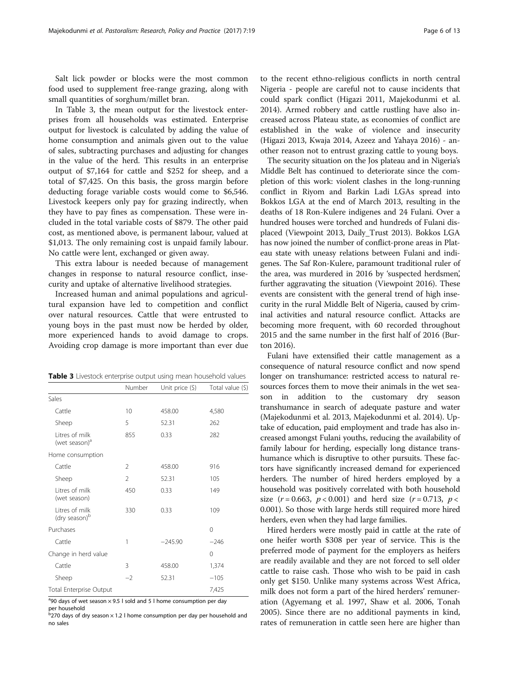Salt lick powder or blocks were the most common food used to supplement free-range grazing, along with small quantities of sorghum/millet bran.

In Table 3, the mean output for the livestock enterprises from all households was estimated. Enterprise output for livestock is calculated by adding the value of home consumption and animals given out to the value of sales, subtracting purchases and adjusting for changes in the value of the herd. This results in an enterprise output of \$7,164 for cattle and \$252 for sheep, and a total of \$7,425. On this basis, the gross margin before deducting forage variable costs would come to \$6,546. Livestock keepers only pay for grazing indirectly, when they have to pay fines as compensation. These were included in the total variable costs of \$879. The other paid cost, as mentioned above, is permanent labour, valued at \$1,013. The only remaining cost is unpaid family labour. No cattle were lent, exchanged or given away.

This extra labour is needed because of management changes in response to natural resource conflict, insecurity and uptake of alternative livelihood strategies.

Increased human and animal populations and agricultural expansion have led to competition and conflict over natural resources. Cattle that were entrusted to young boys in the past must now be herded by older, more experienced hands to avoid damage to crops. Avoiding crop damage is more important than ever due

| <b>Table 3</b> Livestock enterprise output using mean household values |
|------------------------------------------------------------------------|
|                                                                        |

|                                             | Number | Unit price $(\xi)$ | Total value (\$) |
|---------------------------------------------|--------|--------------------|------------------|
| Sales                                       |        |                    |                  |
| Cattle                                      | 10     | 458.00             | 4,580            |
| Sheep                                       | 5      | 52.31              | 262              |
| Litres of milk<br>(wet season) <sup>a</sup> | 855    | 0.33               | 282              |
| Home consumption                            |        |                    |                  |
| Cattle                                      | 2      | 458.00             | 916              |
| Sheep                                       | 2      | 52.31              | 105              |
| Litres of milk<br>(wet season)              | 450    | 0.33               | 149              |
| Litres of milk<br>(dry season) <sup>b</sup> | 330    | 0.33               | 109              |
| Purchases                                   |        |                    | $\Omega$         |
| Cattle                                      | 1      | $-245.90$          | $-246$           |
| Change in herd value                        |        |                    | 0                |
| Cattle                                      | 3      | 458.00             | 1,374            |
| Sheep                                       | $-2$   | 52.31              | $-105$           |
| Total Enterprise Output                     |        |                    | 7,425            |

<sup>a</sup>90 days of wet season  $\times$  9.5 l sold and 5 l home consumption per day

per household<br><sup>b</sup>270 days of dry season × 1.2 l home consumption per day per household and no sales

to the recent ethno-religious conflicts in north central Nigeria - people are careful not to cause incidents that could spark conflict (Higazi [2011](#page-11-0), Majekodunmi et al. [2014](#page-11-0)). Armed robbery and cattle rustling have also increased across Plateau state, as economies of conflict are established in the wake of violence and insecurity (Higazi [2013,](#page-11-0) Kwaja [2014,](#page-11-0) Azeez and Yahaya [2016](#page-11-0)) - another reason not to entrust grazing cattle to young boys.

The security situation on the Jos plateau and in Nigeria's Middle Belt has continued to deteriorate since the completion of this work: violent clashes in the long-running conflict in Riyom and Barkin Ladi LGAs spread into Bokkos LGA at the end of March 2013, resulting in the deaths of 18 Ron-Kulere indigenes and 24 Fulani. Over a hundred houses were torched and hundreds of Fulani displaced (Viewpoint [2013](#page-12-0), Daily\_Trust [2013](#page-11-0)). Bokkos LGA has now joined the number of conflict-prone areas in Plateau state with uneasy relations between Fulani and indigenes. The Saf Ron-Kulere, paramount traditional ruler of the area, was murdered in 2016 by 'suspected herdsmen', further aggravating the situation (Viewpoint [2016](#page-12-0)). These events are consistent with the general trend of high insecurity in the rural Middle Belt of Nigeria, caused by criminal activities and natural resource conflict. Attacks are becoming more frequent, with 60 recorded throughout 2015 and the same number in the first half of 2016 (Burton [2016](#page-11-0)).

Fulani have extensified their cattle management as a consequence of natural resource conflict and now spend longer on transhumance: restricted access to natural resources forces them to move their animals in the wet season in addition to the customary dry season transhumance in search of adequate pasture and water (Majekodunmi et al. [2013,](#page-11-0) Majekodunmi et al. [2014\)](#page-11-0). Uptake of education, paid employment and trade has also increased amongst Fulani youths, reducing the availability of family labour for herding, especially long distance transhumance which is disruptive to other pursuits. These factors have significantly increased demand for experienced herders. The number of hired herders employed by a household was positively correlated with both household size  $(r = 0.663, p < 0.001)$  and herd size  $(r = 0.713, p <$ 0.001). So those with large herds still required more hired herders, even when they had large families.

Hired herders were mostly paid in cattle at the rate of one heifer worth \$308 per year of service. This is the preferred mode of payment for the employers as heifers are readily available and they are not forced to sell older cattle to raise cash. Those who wish to be paid in cash only get \$150. Unlike many systems across West Africa, milk does not form a part of the hired herders' remuneration (Agyemang et al. [1997,](#page-11-0) Shaw et al. [2006](#page-11-0), Tonah [2005](#page-12-0)). Since there are no additional payments in kind, rates of remuneration in cattle seen here are higher than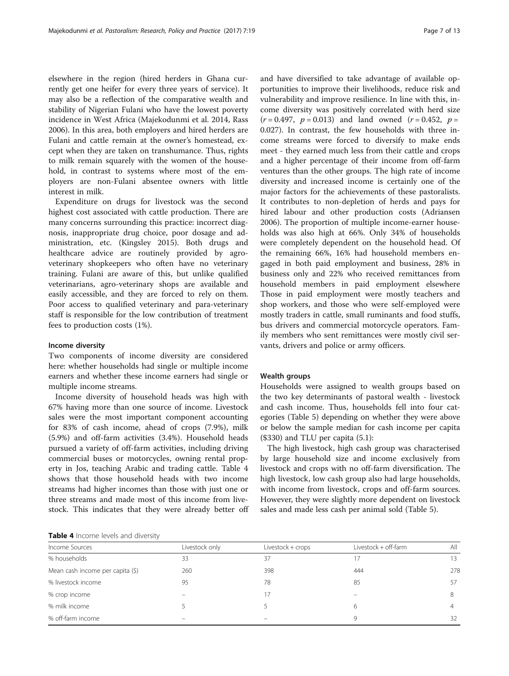elsewhere in the region (hired herders in Ghana currently get one heifer for every three years of service). It may also be a reflection of the comparative wealth and stability of Nigerian Fulani who have the lowest poverty incidence in West Africa (Majekodunmi et al. [2014](#page-11-0), Rass [2006](#page-11-0)). In this area, both employers and hired herders are Fulani and cattle remain at the owner's homestead, except when they are taken on transhumance. Thus, rights to milk remain squarely with the women of the household, in contrast to systems where most of the employers are non-Fulani absentee owners with little interest in milk.

Expenditure on drugs for livestock was the second highest cost associated with cattle production. There are many concerns surrounding this practice: incorrect diagnosis, inappropriate drug choice, poor dosage and administration, etc. (Kingsley [2015](#page-11-0)). Both drugs and healthcare advice are routinely provided by agroveterinary shopkeepers who often have no veterinary training. Fulani are aware of this, but unlike qualified veterinarians, agro-veterinary shops are available and easily accessible, and they are forced to rely on them. Poor access to qualified veterinary and para-veterinary staff is responsible for the low contribution of treatment fees to production costs (1%).

## Income diversity

Two components of income diversity are considered here: whether households had single or multiple income earners and whether these income earners had single or multiple income streams.

Income diversity of household heads was high with 67% having more than one source of income. Livestock sales were the most important component accounting for 83% of cash income, ahead of crops (7.9%), milk (5.9%) and off-farm activities (3.4%). Household heads pursued a variety of off-farm activities, including driving commercial buses or motorcycles, owning rental property in Jos, teaching Arabic and trading cattle. Table 4 shows that those household heads with two income streams had higher incomes than those with just one or three streams and made most of this income from livestock. This indicates that they were already better off

and have diversified to take advantage of available opportunities to improve their livelihoods, reduce risk and vulnerability and improve resilience. In line with this, income diversity was positively correlated with herd size  $(r = 0.497, p = 0.013)$  and land owned  $(r = 0.452, p = 0.013)$ 0.027). In contrast, the few households with three income streams were forced to diversify to make ends meet - they earned much less from their cattle and crops and a higher percentage of their income from off-farm ventures than the other groups. The high rate of income diversity and increased income is certainly one of the major factors for the achievements of these pastoralists. It contributes to non-depletion of herds and pays for hired labour and other production costs (Adriansen [2006](#page-10-0)). The proportion of multiple income-earner households was also high at 66%. Only 34% of households were completely dependent on the household head. Of the remaining 66%, 16% had household members engaged in both paid employment and business, 28% in business only and 22% who received remittances from household members in paid employment elsewhere Those in paid employment were mostly teachers and shop workers, and those who were self-employed were mostly traders in cattle, small ruminants and food stuffs, bus drivers and commercial motorcycle operators. Family members who sent remittances were mostly civil servants, drivers and police or army officers.

## Wealth groups

Households were assigned to wealth groups based on the two key determinants of pastoral wealth - livestock and cash income. Thus, households fell into four categories (Table [5](#page-7-0)) depending on whether they were above or below the sample median for cash income per capita (\$330) and TLU per capita (5.1):

The high livestock, high cash group was characterised by large household size and income exclusively from livestock and crops with no off-farm diversification. The high livestock, low cash group also had large households, with income from livestock, crops and off-farm sources. However, they were slightly more dependent on livestock sales and made less cash per animal sold (Table [5\)](#page-7-0).

Table 4 Income levels and diversity

| Income Sources                   | Livestock only | Livestock + crops | Livestock + off-farm | All |  |
|----------------------------------|----------------|-------------------|----------------------|-----|--|
| % households                     | 33             | 37                |                      | 13  |  |
| Mean cash income per capita (\$) | 260            | 398               | 444                  | 278 |  |
| % livestock income               | 95             | 78                | 85                   | 57  |  |
| % crop income                    |                | 7                 |                      | 8   |  |
| % milk income                    |                |                   | 6                    | 4   |  |
| % off-farm income                |                |                   | 9                    | 32  |  |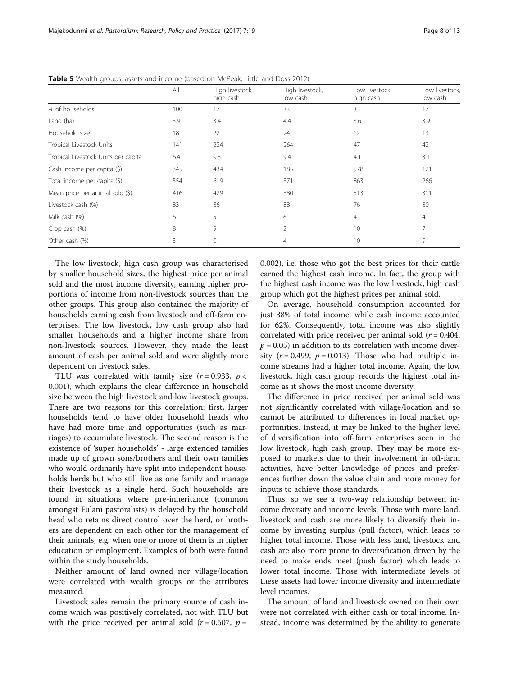|                                     | All | High livestock,<br>high cash | High livestock,<br>low cash | Low livestock.<br>high cash | Low livestock.<br>low cash |
|-------------------------------------|-----|------------------------------|-----------------------------|-----------------------------|----------------------------|
| % of households                     | 100 | 17                           | 33                          | 33                          | 17                         |
| Land (ha)                           | 3.9 | 3.4                          | 4.4                         | 3.6                         | 3.9                        |
| Household size                      | 18  | 22                           | 24                          | 12                          | 13                         |
| Tropical Livestock Units            | 141 | 224                          | 264                         | 47                          | 42                         |
| Tropical Livestock Units per capita | 6.4 | 9.3                          | 9.4                         | 4.1                         | 3.1                        |
| Cash income per capita (\$)         | 345 | 434                          | 185                         | 578                         | 121                        |
| Total income per capita (\$)        | 554 | 619                          | 371                         | 863                         | 266                        |
| Mean price per animal sold (\$)     | 416 | 429                          | 380                         | 513                         | 311                        |
| Livestock cash (%)                  | 83  | 86                           | 88                          | 76                          | 80                         |
| Milk cash (%)                       | 6   | 5                            | 6                           | 4                           | $\overline{4}$             |
| Crop cash (%)                       | 8   | 9                            | $\mathfrak{D}$              | 10                          | 7                          |
| Other cash (%)                      | 3   | 0                            | 4                           | 10                          | 9                          |

<span id="page-7-0"></span>Table 5 Wealth groups, assets and income (based on McPeak, Little and Doss [2012\)](#page-11-0)

The low livestock, high cash group was characterised by smaller household sizes, the highest price per animal sold and the most income diversity, earning higher proportions of income from non-livestock sources than the other groups. This group also contained the majority of households earning cash from livestock and off-farm enterprises. The low livestock, low cash group also had smaller households and a higher income share from non-livestock sources. However, they made the least amount of cash per animal sold and were slightly more dependent on livestock sales.

TLU was correlated with family size  $(r = 0.933, p <$ 0.001), which explains the clear difference in household size between the high livestock and low livestock groups. There are two reasons for this correlation: first, larger households tend to have older household heads who have had more time and opportunities (such as marriages) to accumulate livestock. The second reason is the existence of 'super households' - large extended families made up of grown sons/brothers and their own families who would ordinarily have split into independent households herds but who still live as one family and manage their livestock as a single herd. Such households are found in situations where pre-inheritance (common amongst Fulani pastoralists) is delayed by the household head who retains direct control over the herd, or brothers are dependent on each other for the management of their animals, e.g. when one or more of them is in higher education or employment. Examples of both were found within the study households.

Neither amount of land owned nor village/location were correlated with wealth groups or the attributes measured.

Livestock sales remain the primary source of cash income which was positively correlated, not with TLU but with the price received per animal sold ( $r = 0.607$ ,  $p =$ 

0.002), i.e. those who got the best prices for their cattle earned the highest cash income. In fact, the group with the highest cash income was the low livestock, high cash group which got the highest prices per animal sold.

On average, household consumption accounted for just 38% of total income, while cash income accounted for 62%. Consequently, total income was also slightly correlated with price received per animal sold ( $r = 0.404$ ,  $p = 0.05$ ) in addition to its correlation with income diversity  $(r = 0.499, p = 0.013)$ . Those who had multiple income streams had a higher total income. Again, the low livestock, high cash group records the highest total income as it shows the most income diversity.

The difference in price received per animal sold was not significantly correlated with village/location and so cannot be attributed to differences in local market opportunities. Instead, it may be linked to the higher level of diversification into off-farm enterprises seen in the low livestock, high cash group. They may be more exposed to markets due to their involvement in off-farm activities, have better knowledge of prices and preferences further down the value chain and more money for inputs to achieve those standards.

Thus, so we see a two-way relationship between income diversity and income levels. Those with more land, livestock and cash are more likely to diversify their income by investing surplus (pull factor), which leads to higher total income. Those with less land, livestock and cash are also more prone to diversification driven by the need to make ends meet (push factor) which leads to lower total income. Those with intermediate levels of these assets had lower income diversity and intermediate level incomes.

The amount of land and livestock owned on their own were not correlated with either cash or total income. Instead, income was determined by the ability to generate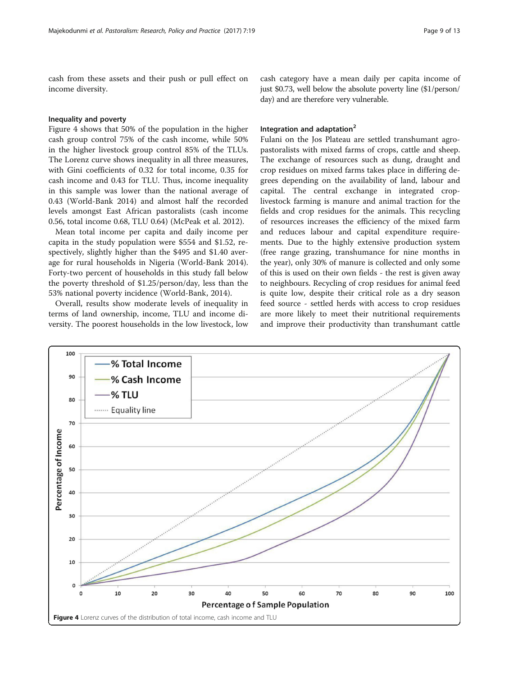cash from these assets and their push or pull effect on income diversity.

## Inequality and poverty

Figure 4 shows that 50% of the population in the higher cash group control 75% of the cash income, while 50% in the higher livestock group control 85% of the TLUs. The Lorenz curve shows inequality in all three measures, with Gini coefficients of 0.32 for total income, 0.35 for cash income and 0.43 for TLU. Thus, income inequality in this sample was lower than the national average of 0.43 (World-Bank [2014\)](#page-12-0) and almost half the recorded levels amongst East African pastoralists (cash income 0.56, total income 0.68, TLU 0.64) (McPeak et al. [2012\)](#page-11-0).

Mean total income per capita and daily income per capita in the study population were \$554 and \$1.52, respectively, slightly higher than the \$495 and \$1.40 average for rural households in Nigeria (World-Bank [2014](#page-12-0)). Forty-two percent of households in this study fall below the poverty threshold of \$1.25/person/day, less than the 53% national poverty incidence (World-Bank, [2014](#page-12-0)).

Overall, results show moderate levels of inequality in terms of land ownership, income, TLU and income diversity. The poorest households in the low livestock, low

cash category have a mean daily per capita income of just \$0.73, well below the absolute poverty line (\$1/person/ day) and are therefore very vulnerable.

## Integration and adaptation<sup>2</sup>

Fulani on the Jos Plateau are settled transhumant agropastoralists with mixed farms of crops, cattle and sheep. The exchange of resources such as dung, draught and crop residues on mixed farms takes place in differing degrees depending on the availability of land, labour and capital. The central exchange in integrated croplivestock farming is manure and animal traction for the fields and crop residues for the animals. This recycling of resources increases the efficiency of the mixed farm and reduces labour and capital expenditure requirements. Due to the highly extensive production system (free range grazing, transhumance for nine months in the year), only 30% of manure is collected and only some of this is used on their own fields - the rest is given away to neighbours. Recycling of crop residues for animal feed is quite low, despite their critical role as a dry season feed source - settled herds with access to crop residues are more likely to meet their nutritional requirements and improve their productivity than transhumant cattle

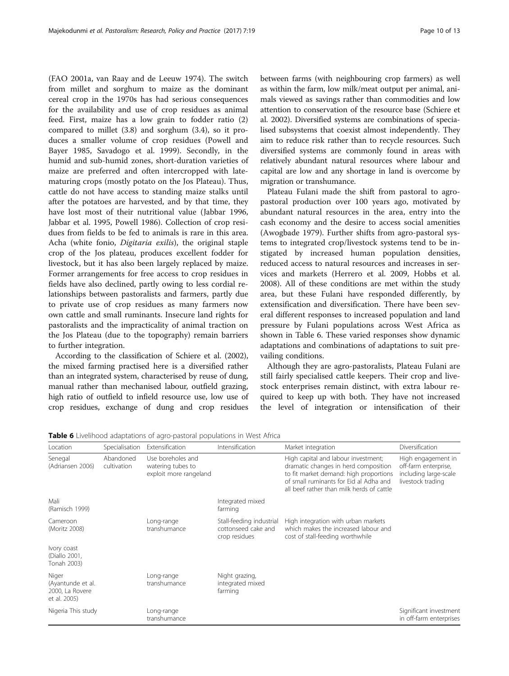(FAO [2001a](#page-11-0), van Raay and de Leeuw [1974\)](#page-12-0). The switch from millet and sorghum to maize as the dominant cereal crop in the 1970s has had serious consequences for the availability and use of crop residues as animal feed. First, maize has a low grain to fodder ratio (2) compared to millet (3.8) and sorghum (3.4), so it produces a smaller volume of crop residues (Powell and Bayer [1985](#page-11-0), Savadogo et al. [1999\)](#page-11-0). Secondly, in the humid and sub-humid zones, short-duration varieties of maize are preferred and often intercropped with latematuring crops (mostly potato on the Jos Plateau). Thus, cattle do not have access to standing maize stalks until after the potatoes are harvested, and by that time, they have lost most of their nutritional value (Jabbar [1996](#page-11-0), Jabbar et al. [1995](#page-11-0), Powell [1986\)](#page-11-0). Collection of crop residues from fields to be fed to animals is rare in this area. Acha (white fonio, Digitaria exilis), the original staple crop of the Jos plateau, produces excellent fodder for livestock, but it has also been largely replaced by maize. Former arrangements for free access to crop residues in fields have also declined, partly owing to less cordial relationships between pastoralists and farmers, partly due to private use of crop residues as many farmers now own cattle and small ruminants. Insecure land rights for pastoralists and the impracticality of animal traction on the Jos Plateau (due to the topography) remain barriers to further integration.

According to the classification of Schiere et al. [\(2002](#page-11-0)), the mixed farming practised here is a diversified rather than an integrated system, characterised by reuse of dung, manual rather than mechanised labour, outfield grazing, high ratio of outfield to infield resource use, low use of crop residues, exchange of dung and crop residues between farms (with neighbouring crop farmers) as well as within the farm, low milk/meat output per animal, animals viewed as savings rather than commodities and low attention to conservation of the resource base (Schiere et al. [2002](#page-11-0)). Diversified systems are combinations of specialised subsystems that coexist almost independently. They aim to reduce risk rather than to recycle resources. Such diversified systems are commonly found in areas with relatively abundant natural resources where labour and capital are low and any shortage in land is overcome by migration or transhumance.

Plateau Fulani made the shift from pastoral to agropastoral production over 100 years ago, motivated by abundant natural resources in the area, entry into the cash economy and the desire to access social amenities (Awogbade [1979\)](#page-11-0). Further shifts from agro-pastoral systems to integrated crop/livestock systems tend to be instigated by increased human population densities, reduced access to natural resources and increases in services and markets (Herrero et al. [2009,](#page-11-0) Hobbs et al. [2008](#page-11-0)). All of these conditions are met within the study area, but these Fulani have responded differently, by extensification and diversification. There have been several different responses to increased population and land pressure by Fulani populations across West Africa as shown in Table 6. These varied responses show dynamic adaptations and combinations of adaptations to suit prevailing conditions.

Although they are agro-pastoralists, Plateau Fulani are still fairly specialised cattle keepers. Their crop and livestock enterprises remain distinct, with extra labour required to keep up with both. They have not increased the level of integration or intensification of their

| Location                                                      | Specialisation           | Extensification                                                  | Intensification                                                  | Market integration                                                                                                                                                                                           | Diversification                                                                          |
|---------------------------------------------------------------|--------------------------|------------------------------------------------------------------|------------------------------------------------------------------|--------------------------------------------------------------------------------------------------------------------------------------------------------------------------------------------------------------|------------------------------------------------------------------------------------------|
| Senegal<br>(Adriansen 2006)                                   | Abandoned<br>cultivation | Use boreholes and<br>watering tubes to<br>exploit more rangeland |                                                                  | High capital and labour investment;<br>dramatic changes in herd composition<br>to fit market demand: high proportions<br>of small ruminants for Fid al Adha and<br>all beef rather than milk herds of cattle | High engagement in<br>off-farm enterprise,<br>including large-scale<br>livestock trading |
| Mali<br>(Ramisch 1999)                                        |                          |                                                                  | Integrated mixed<br>farming                                      |                                                                                                                                                                                                              |                                                                                          |
| Cameroon<br>(Moritz 2008)                                     |                          | Long-range<br>transhumance                                       | Stall-feeding industrial<br>cottonseed cake and<br>crop residues | High integration with urban markets<br>which makes the increased labour and<br>cost of stall-feeding worthwhile                                                                                              |                                                                                          |
| Ivory coast<br>(Diallo 2001,<br>Tonah 2003)                   |                          |                                                                  |                                                                  |                                                                                                                                                                                                              |                                                                                          |
| Niger<br>(Ayantunde et al.<br>2000, La Rovere<br>et al. 2005) |                          | Long-range<br>transhumance                                       | Night grazing,<br>integrated mixed<br>farming                    |                                                                                                                                                                                                              |                                                                                          |
| Nigeria This study                                            |                          | Long-range<br>transhumance                                       |                                                                  |                                                                                                                                                                                                              | Significant investment<br>in off-farm enterprises                                        |

Table 6 Livelihood adaptations of agro-pastoral populations in West Africa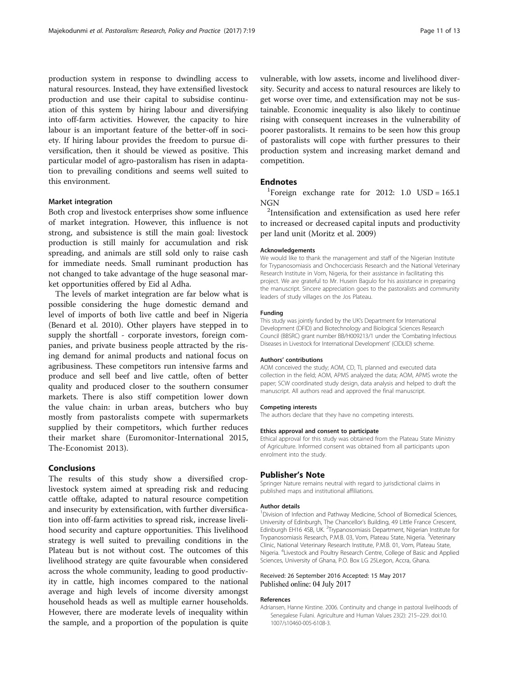<span id="page-10-0"></span>production system in response to dwindling access to natural resources. Instead, they have extensified livestock production and use their capital to subsidise continuation of this system by hiring labour and diversifying into off-farm activities. However, the capacity to hire labour is an important feature of the better-off in society. If hiring labour provides the freedom to pursue diversification, then it should be viewed as positive. This particular model of agro-pastoralism has risen in adaptation to prevailing conditions and seems well suited to this environment.

## Market integration

Both crop and livestock enterprises show some influence of market integration. However, this influence is not strong, and subsistence is still the main goal: livestock production is still mainly for accumulation and risk spreading, and animals are still sold only to raise cash for immediate needs. Small ruminant production has not changed to take advantage of the huge seasonal market opportunities offered by Eid al Adha.

The levels of market integration are far below what is possible considering the huge domestic demand and level of imports of both live cattle and beef in Nigeria (Benard et al. [2010\)](#page-11-0). Other players have stepped in to supply the shortfall - corporate investors, foreign companies, and private business people attracted by the rising demand for animal products and national focus on agribusiness. These competitors run intensive farms and produce and sell beef and live cattle, often of better quality and produced closer to the southern consumer markets. There is also stiff competition lower down the value chain: in urban areas, butchers who buy mostly from pastoralists compete with supermarkets supplied by their competitors, which further reduces their market share (Euromonitor-International [2015](#page-11-0), The-Economist [2013\)](#page-12-0).

## Conclusions

The results of this study show a diversified croplivestock system aimed at spreading risk and reducing cattle offtake, adapted to natural resource competition and insecurity by extensification, with further diversification into off-farm activities to spread risk, increase livelihood security and capture opportunities. This livelihood strategy is well suited to prevailing conditions in the Plateau but is not without cost. The outcomes of this livelihood strategy are quite favourable when considered across the whole community, leading to good productivity in cattle, high incomes compared to the national average and high levels of income diversity amongst household heads as well as multiple earner households. However, there are moderate levels of inequality within the sample, and a proportion of the population is quite vulnerable, with low assets, income and livelihood diversity. Security and access to natural resources are likely to get worse over time, and extensification may not be sustainable. Economic inequality is also likely to continue rising with consequent increases in the vulnerability of poorer pastoralists. It remains to be seen how this group of pastoralists will cope with further pressures to their production system and increasing market demand and competition.

## **Endnotes**

<sup>1</sup>Foreign exchange rate for 2012: 1.0 USD =  $165.1$  $NGN$ 

<sup>2</sup>Intensification and extensification as used here refer to increased or decreased capital inputs and productivity per land unit (Moritz et al. [2009](#page-11-0))

## Acknowledgements

We would like to thank the management and staff of the Nigerian Institute for Trypanosomiasis and Onchocerciasis Research and the National Veterinary Research Institute in Vom, Nigeria, for their assistance in facilitating this project. We are grateful to Mr. Husein Bagulo for his assistance in preparing the manuscript. Sincere appreciation goes to the pastoralists and community leaders of study villages on the Jos Plateau.

## Funding

This study was jointly funded by the UK's Department for International Development (DFID) and Biotechnology and Biological Sciences Research Council (BBSRC) grant number BB/H009213/1 under the 'Combating Infectious Diseases in Livestock for International Development' (CIDLID) scheme.

## Authors' contributions

AOM conceived the study; AOM, CD, TL planned and executed data collection in the field; AOM, APMS analyzed the data; AOM, APMS wrote the paper; SCW coordinated study design, data analysis and helped to draft the manuscript. All authors read and approved the final manuscript.

#### Competing interests

The authors declare that they have no competing interests.

#### Ethics approval and consent to participate

Ethical approval for this study was obtained from the Plateau State Ministry of Agriculture. Informed consent was obtained from all participants upon enrolment into the study.

## Publisher's Note

Springer Nature remains neutral with regard to jurisdictional claims in published maps and institutional affiliations.

#### Author details

<sup>1</sup> Division of Infection and Pathway Medicine, School of Biomedical Sciences, University of Edinburgh, The Chancellor's Building, 49 Little France Crescent, Edinburgh EH16 4SB, UK. <sup>2</sup>Trypanosomiasis Department, Nigerian Institute for Trypanosomiasis Research, P.M.B. 03, Vom, Plateau State, Nigeria. <sup>3</sup>Veterinary Clinic, National Veterinary Research Institute, P.M.B. 01, Vom, Plateau State, Nigeria. <sup>4</sup> Livestock and Poultry Research Centre, College of Basic and Applied Sciences, University of Ghana, P.O. Box LG 25Legon, Accra, Ghana.

#### Received: 26 September 2016 Accepted: 15 May 2017 Published online: 04 July 2017

## References

Adriansen, Hanne Kirstine. 2006. Continuity and change in pastoral livelihoods of Senegalese Fulani. Agriculture and Human Values 23(2): 215–229. doi[:10.](http://dx.doi.org/10.1007/s10460-005-6108-3) [1007/s10460-005-6108-3](http://dx.doi.org/10.1007/s10460-005-6108-3).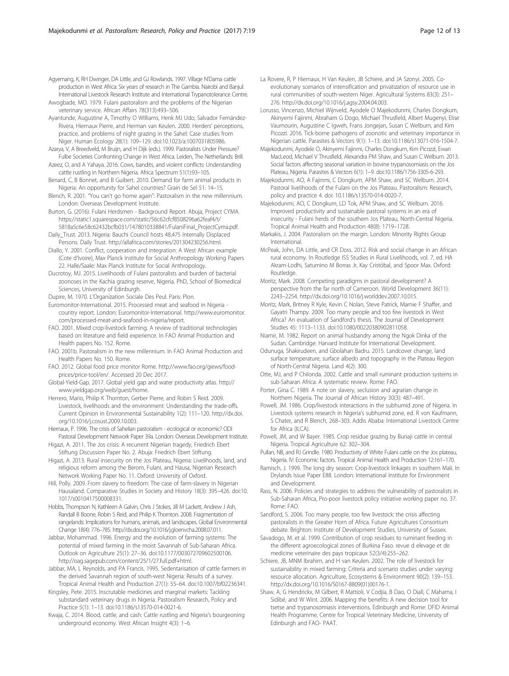<span id="page-11-0"></span>Agyemang, K, RH Dwinger, DA Little, and GJ Rowlands. 1997. Village N'Dama cattle production in West Africa: Six years of research in The Gambia. Nairobi and Banjul: International Livestock Research Institute and International Trypanotolerance Centre.

Awogbade, MO. 1979. Fulani pastoralism and the problems of the Nigerian veterinary service. African Affairs 78(313):493–506.

Ayantunde, Augustine A, Timothy O Williams, Henk MJ Udo, Salvador Fernández-Rivera, Hiernaux Pierre, and Herman van Keulen. 2000. Herders' perceptions, practice, and problems of night grazing in the Sahel: Case studies from Niger. Human Ecology 28(1): 109–129. doi:[10.1023/a:1007031805986.](http://dx.doi.org/10.1023/a:1007031805986)

Azarya, V, A Breedveld, M Bruijn, and H Dijk (eds.). 1999. Pastoralists Under Pressure? Fulbe Societies Confronting Change in West Africa. Leiden, The Netherlands: Brill. Azeez, O, and A Yahaya. 2016. Cows, bandits, and violent conflicts: Understanding

cattle rustling in Northern Nigeria. Africa Spectrum 51(1):93–105.

Benard, C, B Bonnet, and B Guibert. 2010. Demand for farm animal products in Nigeria: An opportunity for Sahel countries? Grain de Sel 51: 14–15.

Blench, R. 2001. "You can't go home again": Pastoralism in the new millennium. London: Overseas Development Institute.

Burton, G. (2016). Fulani Herdsmen - Background Report. Abuja, Project CYMA. [https://static1.squarespace.com/static/56c62cfcf8508296a62feaf4/t/](https://static1.squarespace.com/static/56c62cfcf8508296a62feaf4/t/5818a5c6e58c62432bcfb031/1478010338841/FulaniFinal_ProjectCyma.pdf) [5818a5c6e58c62432bcfb031/1478010338841/FulaniFinal\\_ProjectCyma.pdf](https://static1.squarespace.com/static/56c62cfcf8508296a62feaf4/t/5818a5c6e58c62432bcfb031/1478010338841/FulaniFinal_ProjectCyma.pdf).

Daily\_Trust. 2013. Nigeria: Bauchi Council hosts 48,475 Internally Displaced Persons. Daily Trust.<http://allafrica.com/stories/201304230256.html>.

Diallo, Y. 2001. Conflict, cooperation and integration: A West African example (Cote d'Ivoire), Max Planck Institute for Social Anthropology Working Papers 22. Halle/Saale: Max Planck Institute for Social Anthropology.

Ducrotoy, MJ. 2015. Livelihoods of Fulani pastoralists and burden of bacterial zoonoses in the Kachia grazing reserve, Nigeria. PhD, School of Biomedical Sciences, University of Edinburgh.

Dupire, M. 1970. L'Organization Sociale Des Peul. Paris: Plon.

Euromonitor-International. 2015. Processed meat and seafood in Nigeria country report. London: Euromonitor-International. [http://www.euromonitor.](http://www.euromonitor.com/processed-meat-and-seafood-in-nigeria/report) [com/processed-meat-and-seafood-in-nigeria/report](http://www.euromonitor.com/processed-meat-and-seafood-in-nigeria/report).

FAO. 2001. Mixed crop-livestock farming. A review of traditional technologies based on literature and field experience. In FAO Animal Production and Health papers No. 152. Rome.

FAO. 2001b. Pastoralism in the new millennium. In FAO Animal Production and Health Papers No. 150. Rome.

FAO. 2012. Global food price monitor Rome. [http://www.fao.org/giews/food](http://www.fao.org/giews/food-prices/price-tool/en/)[prices/price-tool/en/.](http://www.fao.org/giews/food-prices/price-tool/en/) Accessed 20 Dec 2017.

Global-Yield-Gap. 2017. Global yield gap and water productivity atlas. [http://](http://www.yieldgap.org/web/guest/home) [www.yieldgap.org/web/guest/home.](http://www.yieldgap.org/web/guest/home)

Herrero, Mario, Philip K Thornton, Gerber Pierre, and Robin S Reid. 2009. Livestock, livelihoods and the environment: Understanding the trade-offs. Current Opinion in Environmental Sustainability 1(2): 111–120. [http://dx.doi.](http://dx.doi.org/10.1016/j.cosust.2009.10.003) [org/10.1016/j.cosust.2009.10.003.](http://dx.doi.org/10.1016/j.cosust.2009.10.003)

Hiernaux, P. 1996. The crisis of Sahelian pastoralism - ecological or economic? ODI Pastoral Development Network Paper 39a. London: Overseas Development Institute.

Higazi, A. 2011. The Jos crisis: A recurrent Nigerian tragedy, Friedrich Ebert Stiftung Discussion Paper No. 2. Abuja: Friedrich Ebert Stiftung.

Higazi, A. 2013. Rural insecurity on the Jos Plateau, Nigeria: Livelihoods, land, and religious reform among the Berom, Fulani, and Hausa, Nigerian Research Network Working Paper No. 11. Oxford: University of Oxford.

Hill, Polly. 2009. From slavery to freedom: The case of farm-slavery in Nigerian Hausaland. Comparative Studies in Society and History 18(3): 395–426. doi:[10.](http://dx.doi.org/10.1017/s0010417500008331) [1017/s0010417500008331](http://dx.doi.org/10.1017/s0010417500008331).

Hobbs, Thompson N, Kathleen A Galvin, Chris J Stokes, Jill M Lackett, Andrew J Ash, Randall B Boone, Robin S Reid, and Philip K Thornton. 2008. Fragmentation of rangelands: Implications for humans, animals, and landscapes. Global Environmental Change 18(4): 776–785. [http://dx.doi.org/10.1016/j.gloenvcha.2008.07.011.](http://dx.doi.org/10.1016/j.gloenvcha.2008.07.011)

Jabbar, Mohammad. 1996. Energy and the evolution of farming systems: The potential of mixed farming in the moist Savannah of Sub-Saharan Africa. Outlook on Agriculture 25(1): 27–36. doi:[10.1177/003072709602500106](http://dx.doi.org/10.1177/003072709602500106). [http://oag.sagepub.com/content/25/1/27.full.pdf+html.](http://oag.sagepub.com/content/25/1/27.full.pdf+html)

Jabbar, MA, L Reynolds, and PA Francis. 1995. Sedentarisation of cattle farmers in the derived Savannah region of south-west Nigeria: Results of a survey. Tropical Animal Health and Production 27(1): 55–64. doi[:10.1007/bf02236341](http://dx.doi.org/10.1007/bf02236341).

Kingsley, Pete. 2015. Inscrutable medicines and marginal markets: Tackling substandard veterinary drugs in Nigeria. Pastoralism Research, Policy and Practice 5(1): 1–13. doi[:10.1186/s13570-014-0021-6.](http://dx.doi.org/10.1186/s13570-014-0021-6)

Kwaja, C. 2014. Blood, cattle, and cash: Cattle rustling and Nigeria's bourgeoning underground economy. West African Insight 4(3): 1–6.

La Rovere, R, P Hiernaux, H Van Keulen, JB Schiere, and JA Szonyi. 2005. Coevolutionary scenarios of intensification and privatization of resource use in rural communities of south-western Niger. Agricultural Systems 83(3): 251– 276. [http://dx.doi.org/10.1016/j.agsy.2004.04.003.](http://dx.doi.org/10.1016/j.agsy.2004.04.003)

Lorusso, Vincenzo, Michiel Wijnveld, Ayodele O Majekodunmi, Charles Dongkum, Akinyemi Fajinmi, Abraham G Dogo, Michael Thrusfield, Albert Mugenyi, Elise Vaumourin, Augustine C Igweh, Frans Jongejan, Susan C Welburn, and Kim Picozzi. 2016. Tick-borne pathogens of zoonotic and veterinary importance in Nigerian cattle. Parasites & Vectors 9(1): 1–13. doi[:10.1186/s13071-016-1504-7](http://dx.doi.org/10.1186/s13071-016-1504-7).

Majekodunmi, Ayodele O, Akinyemi Fajinmi, Charles Dongkum, Kim Picozzi, Ewan MacLeod, Michael V Thrusfield, Alexandra PM Shaw, and Susan C Welburn. 2013. Social factors affecting seasonal variation in bovine trypanosomiasis on the Jos Plateau, Nigeria. Parasites & Vectors 6(1): 1–9. doi[:10.1186/1756-3305-6-293.](http://dx.doi.org/10.1186/1756-3305-6-293)

Majekodunmi, AO, A Fajinmi, C Dongkum, APM Shaw, and SC Welburn. 2014. Pastoral livelihoods of the Fulani on the Jos Plateau. Pastoralism: Research, policy and practice 4. doi: [10.1186/s13570-014-0020-7.](http://dx.doi.org/10.1186/s13570-014-0020-7)

Majekodunmi, AO, C Dongkum, LD Tok, APM Shaw, and SC Welburn. 2016. Improved productivity and sustainable pastoral systems in an era of insecurity - Fulani herds of the southern Jos Plateau, North-Central Nigeria. Tropical Animal Health and Production 48(8): 1719–1728.

Markakis, J. 2004. Pastoralism on the margin. London: Minority Rights Group International.

McPeak, John, DA Little, and CR Doss. 2012. Risk and social change in an African rural economy. In Routledge ISS Studies in Rural Livelihoods, vol. 7, ed. HA Akram-Lodhi, Saturnino M Borras Jr, Kay Cristóbal, and Spoor Max. Oxford: Routledge.

Moritz, Mark. 2008. Competing paradigms in pastoral development? A perspective from the far north of Cameroon. World Development 36(11): 2243–2254.<http://dx.doi.org/10.1016/j.worlddev.2007.10.015>.

Moritz, Mark, Britney R Kyle, Kevin C Nolan, Steve Patrick, Marnie F Shaffer, and Gayatri Thampy. 2009. Too many people and too few livestock in West Africa? An evaluation of Sandford's thesis. The Journal of Development Studies 45: 1113–1133. doi[:10.1080/00220380902811058](http://dx.doi.org/10.1080/00220380902811058).

Niamir, M. 1982. Report on animal husbandry among the Ngok Dinka of the Sudan. Cambridge: Harvard Institute for International Development.

Odunuga, Shakirudeen, and Gbolahan Badru. 2015. Landcover change, land surface temperature, surface albedo and topography in the Plateau Region of North-Central Nigeria. Land 4(2): 300.

Otte, MJ, and P Chilonda. 2002. Cattle and small ruminant production systems in sub-Saharan Africa: A systematic review. Rome: FAO.

Porter, Gina C. 1989. A note on slavery, seclusion and agrarian change in Northern Nigeria. The Journal of African History 30(3): 487–491.

Powell, JM. 1986. Crop/livestock interactions in the subhumid zone of Nigeria. In Livestock systems research in Nigeria's subhumid zone, ed. R von Kaufmann, S Chater, and R Blench, 268–303. Addis Ababa: International Livestock Centre for Africa (ILCA).

Powell, JM, and W Bayer. 1985. Crop residue grazing by Bunaji cattle in central Nigeria. Tropical Agriculture 62: 302–304.

Pullan, NB, and RJ Grindle. 1980. Productivity of White Fulani cattle on the Jos plateau, Nigeria. IV: Economic factors. Tropical Animal Health and Production 12:161–170.

Ramisch, J. 1999. The long dry season: Crop-livestock linkages in southern Mali. In Drylands Issue Paper E88. London: International Institute for Environment and Development.

Rass, N. 2006. Policies and strategies to address the vulnerability of pastoralists in Sub-Saharan Africa, Pro-poor livestock policy initiative working paper no. 37. Rome: FAO.

Sandford, S. 2006. Too many people, too few livestock: the crisis affecting pastoralists in the Greater Horn of Africa. Future Agricultures Consortium debate. Brighton: Institute of Development Studies, University of Sussex.

Savadogo, M. et al. 1999. Contribution of crop residues to ruminant feeding in the different agroecological zones of Burkina Faso. revue d elevage et de medicine veterinaire des pays tropicaux 52(3/4):255–262.

Schiere, JB, MNM Ibrahim, and H van Keulen. 2002. The role of livestock for sustainability in mixed farming: Criteria and scenario studies under varying resource allocation. Agriculture, Ecosystems & Environment 90(2): 139–153. [http://dx.doi.org/10.1016/S0167-8809\(01\)00176-1](http://dx.doi.org/10.1016/S0167-8809(01)00176-1).

Shaw, A, G Hendrickx, M Gilbert, R Mattioli, V Codjia, B Dao, O Diall, C Mahama, I Sidibé, and W Wint. 2006. Mapping the benefits: A new decision tool for tsetse and trypanosomiasis interventions. Edinburgh and Rome: DFID Animal Health Programme, Centre for Tropical Veterinary Medicine, University of Edinburgh and FAO- PAAT.